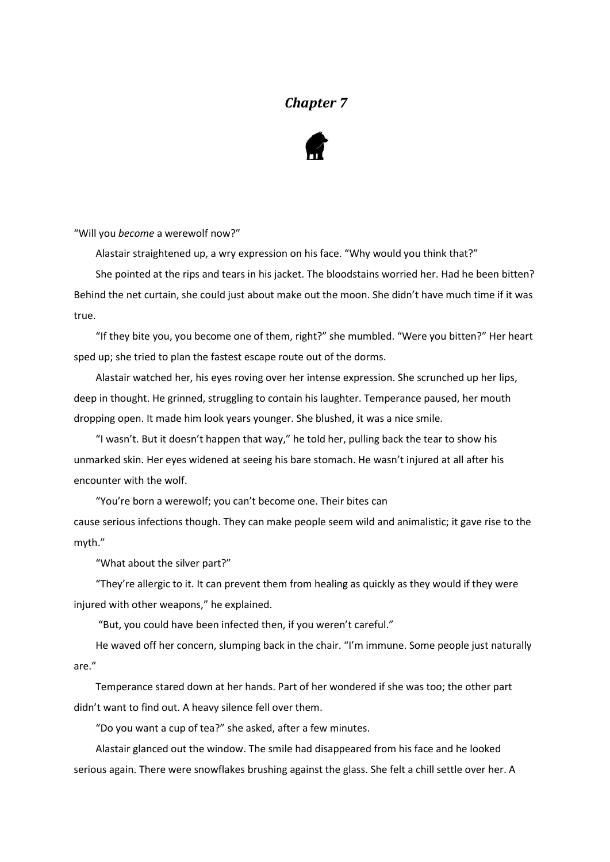## *Chapter 7*



"Will you *become* a werewolf now?"

Alastair straightened up, a wry expression on his face. "Why would you think that?"

She pointed at the rips and tears in his jacket. The bloodstains worried her. Had he been bitten? Behind the net curtain, she could just about make out the moon. She didn't have much time if it was true.

"If they bite you, you become one of them, right?" she mumbled. "Were you bitten?" Her heart sped up; she tried to plan the fastest escape route out of the dorms.

Alastair watched her, his eyes roving over her intense expression. She scrunched up her lips, deep in thought. He grinned, struggling to contain his laughter. Temperance paused, her mouth dropping open. It made him look years younger. She blushed, it was a nice smile.

"I wasn't. But it doesn't happen that way," he told her, pulling back the tear to show his unmarked skin. Her eyes widened at seeing his bare stomach. He wasn't injured at all after his encounter with the wolf.

"You're born a werewolf; you can't become one. Their bites can

cause serious infections though. They can make people seem wild and animalistic; it gave rise to the myth."

"What about the silver part?"

"They're allergic to it. It can prevent them from healing as quickly as they would if they were injured with other weapons," he explained.

"But, you could have been infected then, if you weren't careful."

He waved off her concern, slumping back in the chair. "I'm immune. Some people just naturally are."

Temperance stared down at her hands. Part of her wondered if she was too; the other part didn't want to find out. A heavy silence fell over them.

"Do you want a cup of tea?" she asked, after a few minutes.

Alastair glanced out the window. The smile had disappeared from his face and he looked serious again. There were snowflakes brushing against the glass. She felt a chill settle over her. A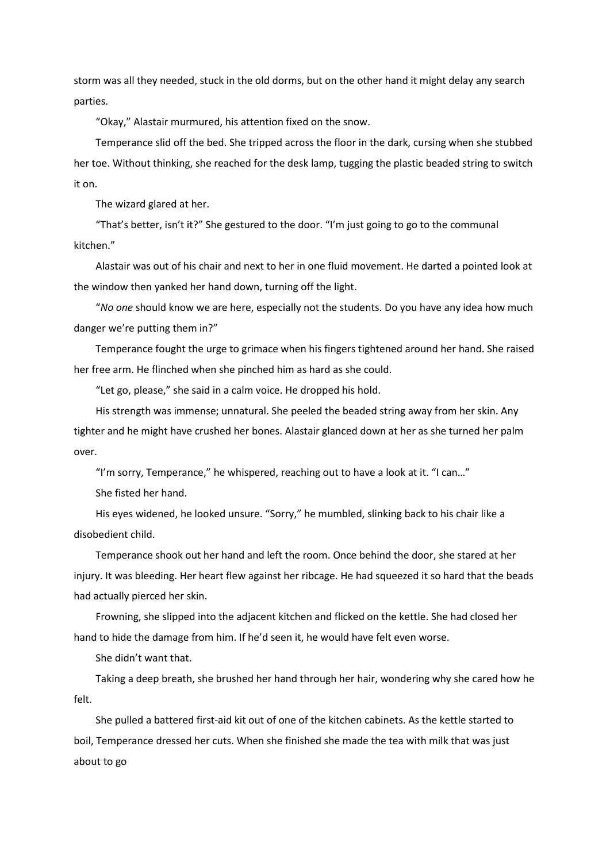storm was all they needed, stuck in the old dorms, but on the other hand it might delay any search parties.

"Okay," Alastair murmured, his attention fixed on the snow.

Temperance slid off the bed. She tripped across the floor in the dark, cursing when she stubbed her toe. Without thinking, she reached for the desk lamp, tugging the plastic beaded string to switch it on.

The wizard glared at her.

"That's better, isn't it?" She gestured to the door. "I'm just going to go to the communal kitchen."

Alastair was out of his chair and next to her in one fluid movement. He darted a pointed look at the window then yanked her hand down, turning off the light.

"*No one* should know we are here, especially not the students. Do you have any idea how much danger we're putting them in?"

Temperance fought the urge to grimace when his fingers tightened around her hand. She raised her free arm. He flinched when she pinched him as hard as she could.

"Let go, please," she said in a calm voice. He dropped his hold.

His strength was immense; unnatural. She peeled the beaded string away from her skin. Any tighter and he might have crushed her bones. Alastair glanced down at her as she turned her palm over.

"I'm sorry, Temperance," he whispered, reaching out to have a look at it. "I can…"

She fisted her hand.

His eyes widened, he looked unsure. "Sorry," he mumbled, slinking back to his chair like a disobedient child.

Temperance shook out her hand and left the room. Once behind the door, she stared at her injury. It was bleeding. Her heart flew against her ribcage. He had squeezed it so hard that the beads had actually pierced her skin.

Frowning, she slipped into the adjacent kitchen and flicked on the kettle. She had closed her hand to hide the damage from him. If he'd seen it, he would have felt even worse.

She didn't want that.

Taking a deep breath, she brushed her hand through her hair, wondering why she cared how he felt.

She pulled a battered first-aid kit out of one of the kitchen cabinets. As the kettle started to boil, Temperance dressed her cuts. When she finished she made the tea with milk that was just about to go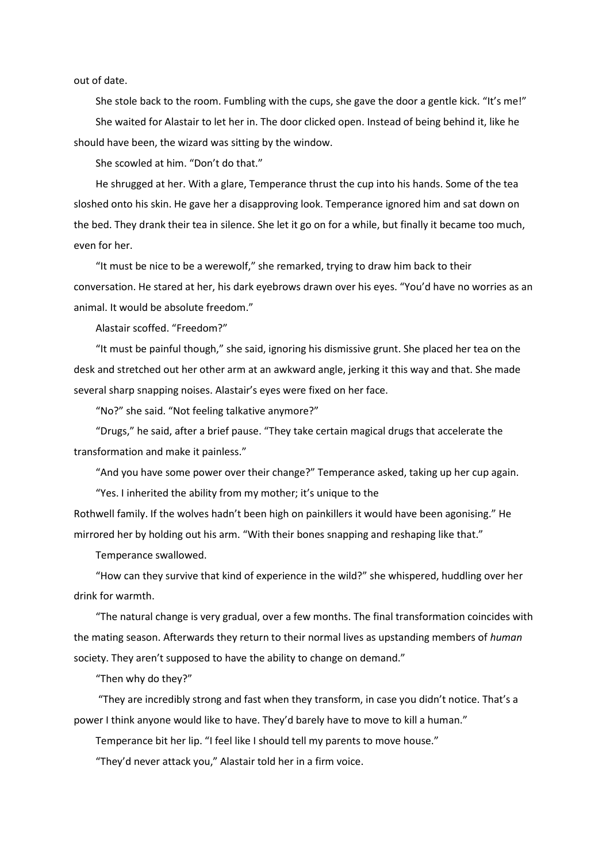out of date.

She stole back to the room. Fumbling with the cups, she gave the door a gentle kick. "It's me!" She waited for Alastair to let her in. The door clicked open. Instead of being behind it, like he should have been, the wizard was sitting by the window.

She scowled at him. "Don't do that."

He shrugged at her. With a glare, Temperance thrust the cup into his hands. Some of the tea sloshed onto his skin. He gave her a disapproving look. Temperance ignored him and sat down on the bed. They drank their tea in silence. She let it go on for a while, but finally it became too much, even for her.

"It must be nice to be a werewolf," she remarked, trying to draw him back to their conversation. He stared at her, his dark eyebrows drawn over his eyes. "You'd have no worries as an animal. It would be absolute freedom."

Alastair scoffed. "Freedom?"

"It must be painful though," she said, ignoring his dismissive grunt. She placed her tea on the desk and stretched out her other arm at an awkward angle, jerking it this way and that. She made several sharp snapping noises. Alastair's eyes were fixed on her face.

"No?" she said. "Not feeling talkative anymore?"

"Drugs," he said, after a brief pause. "They take certain magical drugs that accelerate the transformation and make it painless."

"And you have some power over their change?" Temperance asked, taking up her cup again.

"Yes. I inherited the ability from my mother; it's unique to the

Rothwell family. If the wolves hadn't been high on painkillers it would have been agonising." He mirrored her by holding out his arm. "With their bones snapping and reshaping like that."

Temperance swallowed.

"How can they survive that kind of experience in the wild?" she whispered, huddling over her drink for warmth.

"The natural change is very gradual, over a few months. The final transformation coincides with the mating season. Afterwards they return to their normal lives as upstanding members of *human* society. They aren't supposed to have the ability to change on demand."

"Then why do they?"

"They are incredibly strong and fast when they transform, in case you didn't notice. That's a power I think anyone would like to have. They'd barely have to move to kill a human."

Temperance bit her lip. "I feel like I should tell my parents to move house."

"They'd never attack you," Alastair told her in a firm voice.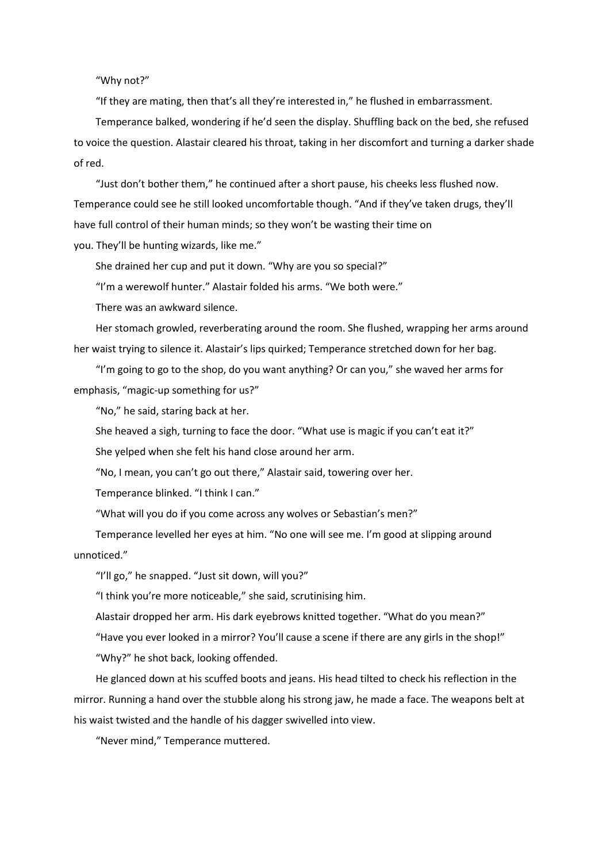"Why not?"

"If they are mating, then that's all they're interested in," he flushed in embarrassment.

Temperance balked, wondering if he'd seen the display. Shuffling back on the bed, she refused to voice the question. Alastair cleared his throat, taking in her discomfort and turning a darker shade of red.

"Just don't bother them," he continued after a short pause, his cheeks less flushed now. Temperance could see he still looked uncomfortable though. "And if they've taken drugs, they'll have full control of their human minds; so they won't be wasting their time on you. They'll be hunting wizards, like me."

She drained her cup and put it down. "Why are you so special?"

"I'm a werewolf hunter." Alastair folded his arms. "We both were."

There was an awkward silence.

Her stomach growled, reverberating around the room. She flushed, wrapping her arms around her waist trying to silence it. Alastair's lips quirked; Temperance stretched down for her bag.

"I'm going to go to the shop, do you want anything? Or can you," she waved her arms for emphasis, "magic-up something for us?"

"No," he said, staring back at her.

She heaved a sigh, turning to face the door. "What use is magic if you can't eat it?"

She yelped when she felt his hand close around her arm.

"No, I mean, you can't go out there," Alastair said, towering over her.

Temperance blinked. "I think I can."

"What will you do if you come across any wolves or Sebastian's men?"

Temperance levelled her eyes at him. "No one will see me. I'm good at slipping around unnoticed."

"I'll go," he snapped. "Just sit down, will you?"

"I think you're more noticeable," she said, scrutinising him.

Alastair dropped her arm. His dark eyebrows knitted together. "What do you mean?"

"Have you ever looked in a mirror? You'll cause a scene if there are any girls in the shop!" "Why?" he shot back, looking offended.

He glanced down at his scuffed boots and jeans. His head tilted to check his reflection in the mirror. Running a hand over the stubble along his strong jaw, he made a face. The weapons belt at his waist twisted and the handle of his dagger swivelled into view.

"Never mind," Temperance muttered.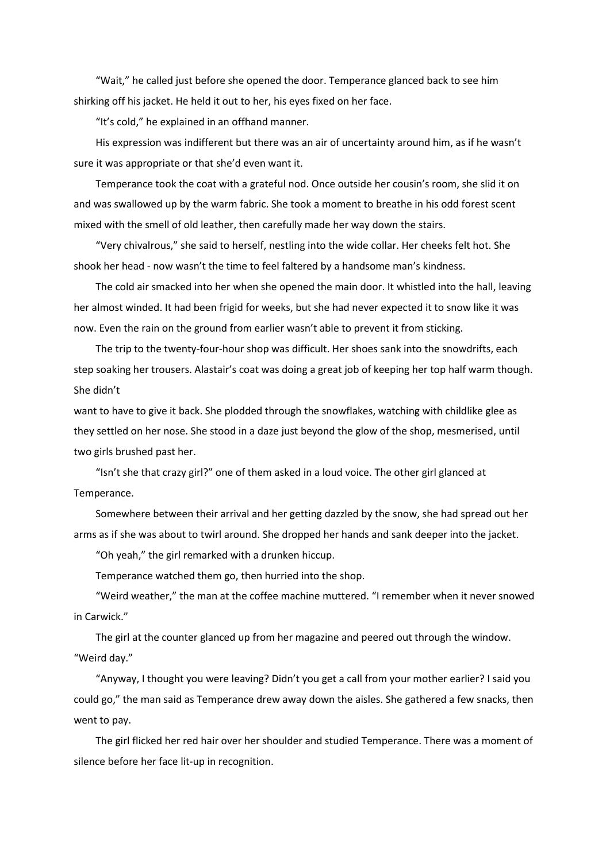"Wait," he called just before she opened the door. Temperance glanced back to see him shirking off his jacket. He held it out to her, his eyes fixed on her face.

"It's cold," he explained in an offhand manner.

His expression was indifferent but there was an air of uncertainty around him, as if he wasn't sure it was appropriate or that she'd even want it.

Temperance took the coat with a grateful nod. Once outside her cousin's room, she slid it on and was swallowed up by the warm fabric. She took a moment to breathe in his odd forest scent mixed with the smell of old leather, then carefully made her way down the stairs.

"Very chivalrous," she said to herself, nestling into the wide collar. Her cheeks felt hot. She shook her head - now wasn't the time to feel faltered by a handsome man's kindness.

The cold air smacked into her when she opened the main door. It whistled into the hall, leaving her almost winded. It had been frigid for weeks, but she had never expected it to snow like it was now. Even the rain on the ground from earlier wasn't able to prevent it from sticking.

The trip to the twenty-four-hour shop was difficult. Her shoes sank into the snowdrifts, each step soaking her trousers. Alastair's coat was doing a great job of keeping her top half warm though. She didn't

want to have to give it back. She plodded through the snowflakes, watching with childlike glee as they settled on her nose. She stood in a daze just beyond the glow of the shop, mesmerised, until two girls brushed past her.

"Isn't she that crazy girl?" one of them asked in a loud voice. The other girl glanced at Temperance.

Somewhere between their arrival and her getting dazzled by the snow, she had spread out her arms as if she was about to twirl around. She dropped her hands and sank deeper into the jacket.

"Oh yeah," the girl remarked with a drunken hiccup.

Temperance watched them go, then hurried into the shop.

"Weird weather," the man at the coffee machine muttered. "I remember when it never snowed in Carwick."

The girl at the counter glanced up from her magazine and peered out through the window. "Weird day."

"Anyway, I thought you were leaving? Didn't you get a call from your mother earlier? I said you could go," the man said as Temperance drew away down the aisles. She gathered a few snacks, then went to pay.

The girl flicked her red hair over her shoulder and studied Temperance. There was a moment of silence before her face lit-up in recognition.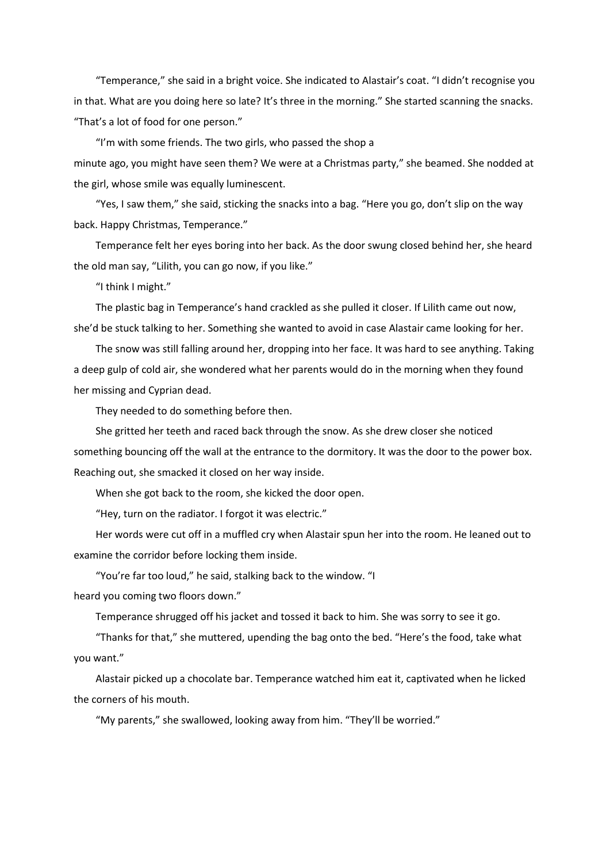"Temperance," she said in a bright voice. She indicated to Alastair's coat. "I didn't recognise you in that. What are you doing here so late? It's three in the morning." She started scanning the snacks. "That's a lot of food for one person."

"I'm with some friends. The two girls, who passed the shop a minute ago, you might have seen them? We were at a Christmas party," she beamed. She nodded at the girl, whose smile was equally luminescent.

"Yes, I saw them," she said, sticking the snacks into a bag. "Here you go, don't slip on the way back. Happy Christmas, Temperance."

Temperance felt her eyes boring into her back. As the door swung closed behind her, she heard the old man say, "Lilith, you can go now, if you like."

"I think I might."

The plastic bag in Temperance's hand crackled as she pulled it closer. If Lilith came out now, she'd be stuck talking to her. Something she wanted to avoid in case Alastair came looking for her.

The snow was still falling around her, dropping into her face. It was hard to see anything. Taking a deep gulp of cold air, she wondered what her parents would do in the morning when they found her missing and Cyprian dead.

They needed to do something before then.

She gritted her teeth and raced back through the snow. As she drew closer she noticed something bouncing off the wall at the entrance to the dormitory. It was the door to the power box. Reaching out, she smacked it closed on her way inside.

When she got back to the room, she kicked the door open.

"Hey, turn on the radiator. I forgot it was electric."

Her words were cut off in a muffled cry when Alastair spun her into the room. He leaned out to examine the corridor before locking them inside.

"You're far too loud," he said, stalking back to the window. "I

heard you coming two floors down."

Temperance shrugged off his jacket and tossed it back to him. She was sorry to see it go.

"Thanks for that," she muttered, upending the bag onto the bed. "Here's the food, take what you want."

Alastair picked up a chocolate bar. Temperance watched him eat it, captivated when he licked the corners of his mouth.

"My parents," she swallowed, looking away from him. "They'll be worried."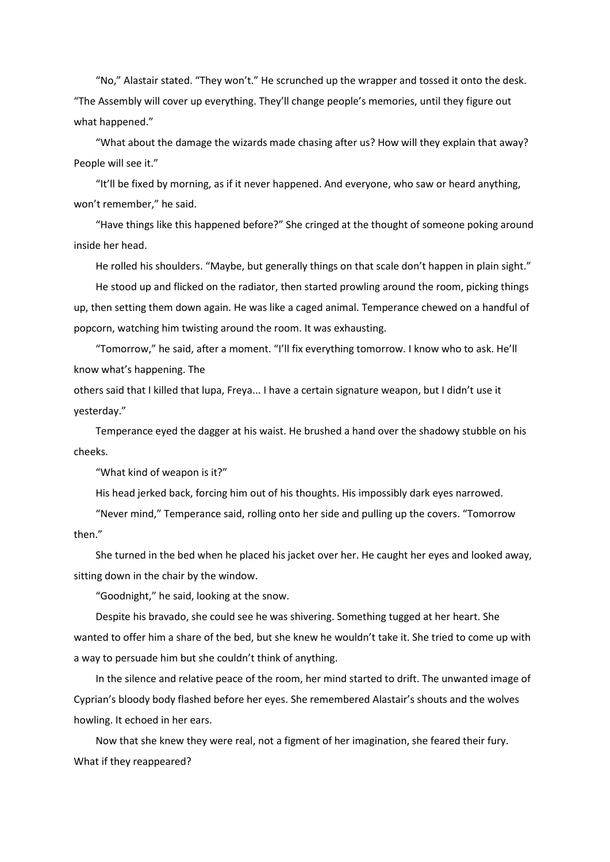"No," Alastair stated. "They won't." He scrunched up the wrapper and tossed it onto the desk. "The Assembly will cover up everything. They'll change people's memories, until they figure out what happened."

"What about the damage the wizards made chasing after us? How will they explain that away? People will see it."

"It'll be fixed by morning, as if it never happened. And everyone, who saw or heard anything, won't remember," he said.

"Have things like this happened before?" She cringed at the thought of someone poking around inside her head.

He rolled his shoulders. "Maybe, but generally things on that scale don't happen in plain sight."

He stood up and flicked on the radiator, then started prowling around the room, picking things up, then setting them down again. He was like a caged animal. Temperance chewed on a handful of popcorn, watching him twisting around the room. It was exhausting.

"Tomorrow," he said, after a moment. "I'll fix everything tomorrow. I know who to ask. He'll know what's happening. The

others said that I killed that lupa, Freya... I have a certain signature weapon, but I didn't use it yesterday."

Temperance eyed the dagger at his waist. He brushed a hand over the shadowy stubble on his cheeks.

"What kind of weapon is it?"

His head jerked back, forcing him out of his thoughts. His impossibly dark eyes narrowed.

"Never mind," Temperance said, rolling onto her side and pulling up the covers. "Tomorrow then."

She turned in the bed when he placed his jacket over her. He caught her eyes and looked away, sitting down in the chair by the window.

"Goodnight," he said, looking at the snow.

Despite his bravado, she could see he was shivering. Something tugged at her heart. She wanted to offer him a share of the bed, but she knew he wouldn't take it. She tried to come up with a way to persuade him but she couldn't think of anything.

In the silence and relative peace of the room, her mind started to drift. The unwanted image of Cyprian's bloody body flashed before her eyes. She remembered Alastair's shouts and the wolves howling. It echoed in her ears.

Now that she knew they were real, not a figment of her imagination, she feared their fury. What if they reappeared?